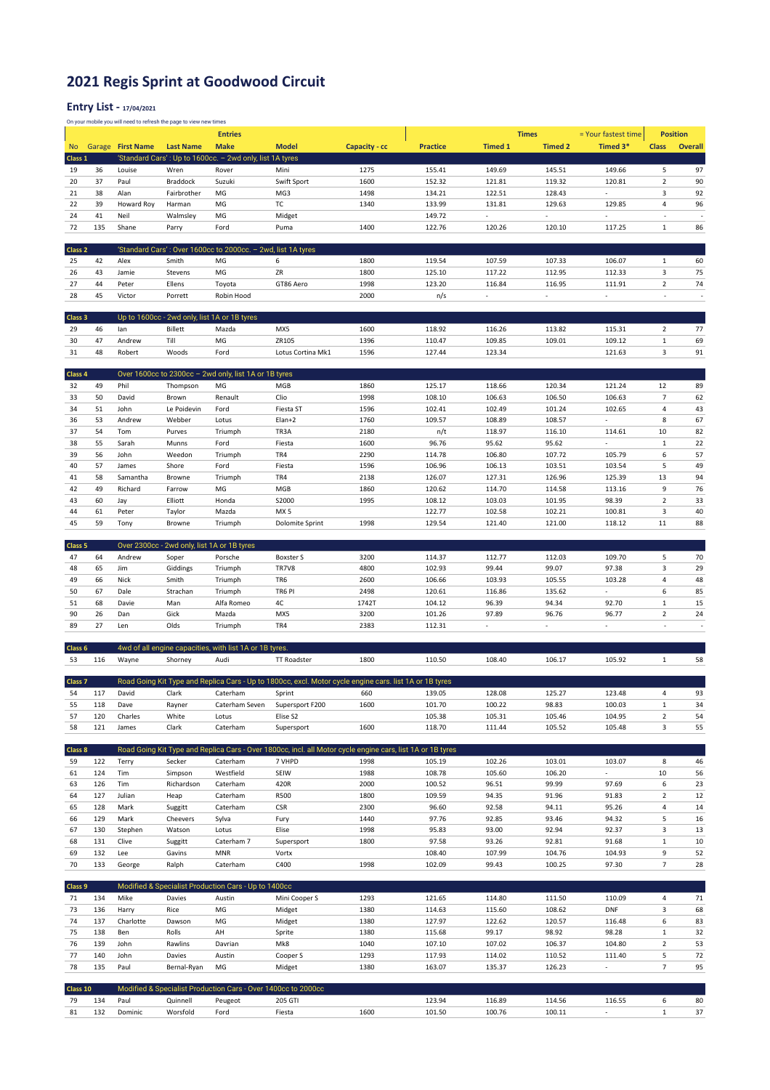## **2021 Regis Sprint at Goodwood Circuit**

## **Entry List - 17/04/2021**

On your mobile you will need to refresh the page to view new times

|                    |            |                   |                                              | <b>Entries</b>                                                |                                                                                                            |               |                  |                          | <b>Times</b>             | = Your fastest time      | <b>Position</b>          |                          |
|--------------------|------------|-------------------|----------------------------------------------|---------------------------------------------------------------|------------------------------------------------------------------------------------------------------------|---------------|------------------|--------------------------|--------------------------|--------------------------|--------------------------|--------------------------|
| <b>No</b>          |            | Garage First Name | <b>Last Name</b>                             | <b>Make</b>                                                   | <b>Model</b>                                                                                               | Capacity - cc | <b>Practice</b>  | <b>Timed 1</b>           | <b>Timed 2</b>           | Timed 3*                 | <b>Class</b>             | <b>Overall</b>           |
| Class 1            |            |                   |                                              | 'Standard Cars': Up to 1600cc. - 2wd only, list 1A tyres      |                                                                                                            |               |                  |                          |                          |                          |                          |                          |
| 19                 | 36         | Louise            | Wren                                         | Rover                                                         | Mini                                                                                                       | 1275          | 155.41           | 149.69                   | 145.51                   | 149.66                   | 5                        | 97                       |
| 20                 | 37         | Paul              | Braddock                                     | Suzuki                                                        | Swift Sport                                                                                                | 1600          | 152.32           | 121.81                   | 119.32                   | 120.81                   | $\overline{2}$           | 90                       |
|                    | 38         |                   |                                              | MG                                                            |                                                                                                            |               |                  |                          |                          | ٠                        | 3                        | 92                       |
| 21                 |            | Alan              | Fairbrother                                  |                                                               | MG3                                                                                                        | 1498          | 134.21           | 122.51                   | 128.43                   |                          |                          |                          |
| 22                 | 39         | Howard Roy        | Harman                                       | MG                                                            | тc                                                                                                         | 1340          | 133.99           | 131.81                   | 129.63                   | 129.85                   | $\overline{4}$           | 96                       |
| 24                 | 41         | Neil              | Walmsley                                     | MG                                                            | Midget                                                                                                     |               | 149.72           | $\sim$                   | ٠                        | ÷.                       | ÷,                       | $\overline{a}$           |
| 72                 | 135        | Shane             | Parry                                        | Ford                                                          | Puma                                                                                                       | 1400          | 122.76           | 120.26                   | 120.10                   | 117.25                   | $\mathbf{1}$             | 86                       |
|                    |            |                   |                                              |                                                               |                                                                                                            |               |                  |                          |                          |                          |                          |                          |
| Class <sub>2</sub> |            |                   |                                              | 'Standard Cars': Over 1600cc to 2000cc. - 2wd, list 1A tyres  |                                                                                                            |               |                  |                          |                          |                          |                          |                          |
| 25                 | 42         | Alex              | Smith                                        | MG                                                            | 6                                                                                                          | 1800          | 119.54           | 107.59                   | 107.33                   | 106.07                   | $\mathbf{1}$             | 60                       |
| 26                 | 43         | Jamie             | Stevens                                      | MG                                                            | ZR                                                                                                         | 1800          | 125.10           | 117.22                   | 112.95                   | 112.33                   | 3                        | 75                       |
| 27                 | 44         | Peter             | Ellens                                       | Toyota                                                        | GT86 Aero                                                                                                  | 1998          | 123.20           | 116.84                   | 116.95                   | 111.91                   | $\overline{2}$           | 74                       |
| 28                 |            |                   |                                              |                                                               |                                                                                                            |               |                  |                          | ÷.                       | ÷.                       | ÷,                       | ÷,                       |
|                    | 45         | Victor            | Porrett                                      | Robin Hood                                                    |                                                                                                            | 2000          | n/s              |                          |                          |                          |                          |                          |
|                    |            |                   |                                              |                                                               |                                                                                                            |               |                  |                          |                          |                          |                          |                          |
| Class 3            |            |                   | Up to 1600cc - 2wd only, list 1A or 1B tyres |                                                               |                                                                                                            |               |                  |                          |                          |                          |                          |                          |
| 29                 | 46         | lan               | <b>Billett</b>                               | Mazda                                                         | MX5                                                                                                        | 1600          | 118.92           | 116.26                   | 113.82                   | 115.31                   | $\overline{2}$           | 77                       |
| 30                 | 47         | Andrew            | Till                                         | MG                                                            | ZR105                                                                                                      | 1396          | 110.47           | 109.85                   | 109.01                   | 109.12                   | $\,1\,$                  | 69                       |
| 31                 | 48         | Robert            | Woods                                        | Ford                                                          | Lotus Cortina Mk1                                                                                          | 1596          | 127.44           | 123.34                   |                          | 121.63                   | 3                        | 91                       |
|                    |            |                   |                                              |                                                               |                                                                                                            |               |                  |                          |                          |                          |                          |                          |
| Class 4            |            |                   |                                              | Over 1600cc to 2300cc - 2wd only, list 1A or 1B tyres         |                                                                                                            |               |                  |                          |                          |                          |                          |                          |
| 32                 | 49         | Phil              | Thompson                                     | MG                                                            | MGB                                                                                                        | 1860          | 125.17           | 118.66                   | 120.34                   | 121.24                   | 12                       | 89                       |
| 33                 | 50         | David             | Brown                                        | Renault                                                       | Clio                                                                                                       | 1998          | 108.10           | 106.63                   | 106.50                   | 106.63                   | $\overline{7}$           | 62                       |
|                    |            |                   |                                              |                                                               |                                                                                                            |               |                  |                          |                          |                          | 4                        |                          |
| 34                 | 51         | John              | Le Poidevin                                  | Ford                                                          | Fiesta ST                                                                                                  | 1596          | 102.41           | 102.49                   | 101.24                   | 102.65                   |                          | 43                       |
| 36                 | 53         | Andrew            | Webber                                       | Lotus                                                         | Elan+2                                                                                                     | 1760          | 109.57           | 108.89                   | 108.57                   | ÷                        | 8                        | 67                       |
| 37                 | 54         | Tom               | Purves                                       | Triumph                                                       | TR3A                                                                                                       | 2180          | n/t              | 118.97                   | 116.10                   | 114.61                   | 10                       | 82                       |
| 38                 | 55         | Sarah             | Munns                                        | Ford                                                          | Fiesta                                                                                                     | 1600          | 96.76            | 95.62                    | 95.62                    | ÷.                       | $\mathbf 1$              | 22                       |
| 39                 | 56         | John              | Weedon                                       | Triumph                                                       | TR4                                                                                                        | 2290          | 114.78           | 106.80                   | 107.72                   | 105.79                   | 6                        | 57                       |
| 40                 | 57         | James             | Shore                                        | Ford                                                          | Fiesta                                                                                                     | 1596          | 106.96           | 106.13                   | 103.51                   | 103.54                   | 5                        | 49                       |
| 41                 | 58         | Samantha          | Browne                                       | Triumph                                                       | TR4                                                                                                        | 2138          | 126.07           | 127.31                   | 126.96                   | 125.39                   | 13                       | 94                       |
| 42                 | 49         | Richard           | Farrow                                       | MG                                                            | MGB                                                                                                        | 1860          | 120.62           | 114.70                   | 114.58                   | 113.16                   | 9                        | 76                       |
| 43                 | 60         | Jay               | Elliott                                      | Honda                                                         | S2000                                                                                                      | 1995          | 108.12           | 103.03                   | 101.95                   | 98.39                    | $\overline{2}$           | 33                       |
| 44                 | 61         | Peter             | Taylor                                       | Mazda                                                         | MX <sub>5</sub>                                                                                            |               | 122.77           | 102.58                   | 102.21                   | 100.81                   | 3                        | 40                       |
| 45                 | 59         |                   |                                              |                                                               |                                                                                                            | 1998          | 129.54           |                          |                          | 118.12                   | 11                       | 88                       |
|                    |            | Tony              | Browne                                       | Triumph                                                       | Dolomite Sprint                                                                                            |               |                  | 121.40                   | 121.00                   |                          |                          |                          |
|                    |            |                   |                                              |                                                               |                                                                                                            |               |                  |                          |                          |                          |                          |                          |
| Class 5            |            |                   | Over 2300cc - 2wd only, list 1A or 1B tyres  |                                                               |                                                                                                            |               |                  |                          |                          |                          |                          |                          |
| 47                 | 64         | Andrew            | Soper                                        | Porsche                                                       | <b>Boxster S</b>                                                                                           | 3200          | 114.37           | 112.77                   | 112.03                   | 109.70                   | 5                        | 70                       |
| 48                 | 65         | Jim               | Giddings                                     | Triumph                                                       | TR7V8                                                                                                      | 4800          | 102.93           | 99.44                    | 99.07                    | 97.38                    | 3                        | 29                       |
| 49                 | 66         | Nick              |                                              |                                                               |                                                                                                            |               |                  |                          |                          |                          |                          |                          |
|                    |            |                   | Smith                                        | Triumph                                                       | TR6                                                                                                        | 2600          | 106.66           | 103.93                   | 105.55                   | 103.28                   | 4                        | 48                       |
| 50                 | 67         | Dale              | Strachan                                     | Triumph                                                       | TR6 PI                                                                                                     | 2498          | 120.61           | 116.86                   | 135.62                   | ä,                       | 6                        | 85                       |
| 51                 | 68         | Davie             | Man                                          | Alfa Romeo                                                    | 4C                                                                                                         | 1742T         | 104.12           | 96.39                    | 94.34                    | 92.70                    | $\,1\,$                  | 15                       |
|                    |            |                   |                                              |                                                               |                                                                                                            |               |                  |                          |                          |                          |                          |                          |
| 90                 | 26         | Dan               | Gick                                         | Mazda                                                         | MX5                                                                                                        | 3200          | 101.26           | 97.89                    | 96.76                    | 96.77                    | $\mathbf 2$              | 24                       |
| 89                 | 27         | Len               | Olds                                         | Triumph                                                       | TR4                                                                                                        | 2383          | 112.31           | $\overline{\phantom{a}}$ | $\overline{\phantom{a}}$ | $\overline{\phantom{a}}$ | $\overline{\phantom{a}}$ | $\overline{\phantom{a}}$ |
|                    |            |                   |                                              |                                                               |                                                                                                            |               |                  |                          |                          |                          |                          |                          |
| Class 6            |            |                   |                                              | 4wd of all engine capacities, with list 1A or 1B tyres.       |                                                                                                            |               |                  |                          |                          |                          |                          |                          |
| 53                 | 116        | Wayne             | Shorney                                      | Audi                                                          | TT Roadster                                                                                                | 1800          | 110.50           | 108.40                   | 106.17                   | 105.92                   | $\mathbf{1}$             | 58                       |
|                    |            |                   |                                              |                                                               |                                                                                                            |               |                  |                          |                          |                          |                          |                          |
| Class <sub>7</sub> |            |                   |                                              |                                                               | Road Going Kit Type and Replica Cars - Up to 1800cc, excl. Motor cycle engine cars. list 1A or 1B tyres    |               |                  |                          |                          |                          |                          |                          |
| 54                 | 117        | David             | Clark                                        | Caterham                                                      | Sprint                                                                                                     | 660           | 139.05           | 128.08                   | 125.27                   | 123.48                   | $\overline{4}$           | 93                       |
| 55                 | 118        | Dave              | Rayner                                       | Caterham Seven                                                | Supersport F200                                                                                            | 1600          | 101.70           | 100.22                   | 98.83                    | 100.03                   | $1\,$                    | 34                       |
| 57                 | 120        | Charles           | White                                        | Lotus                                                         | Elise S2                                                                                                   |               | 105.38           | 105.31                   | 105.46                   | 104.95                   | $\overline{2}$           | 54                       |
| 58                 | 121        | James             | Clark                                        | Caterham                                                      | Supersport                                                                                                 | 1600          | 118.70           | 111.44                   | 105.52                   | 105.48                   | 3                        | 55                       |
|                    |            |                   |                                              |                                                               |                                                                                                            |               |                  |                          |                          |                          |                          |                          |
|                    |            |                   |                                              |                                                               |                                                                                                            |               |                  |                          |                          |                          |                          |                          |
| Class 8            |            |                   |                                              |                                                               | Road Going Kit Type and Replica Cars - Over 1800cc, incl. all Motor cycle engine cars, list 1A or 1B tyres |               |                  |                          |                          |                          |                          |                          |
| 59                 | 122        | Terry             | Secker                                       | Caterham                                                      | 7 VHPD                                                                                                     | 1998          | 105.19           | 102.26                   | 103.01                   | 103.07                   | 8                        | 46                       |
| 61                 | 124        | Tim               | Simpson                                      | Westfield                                                     | SEIW                                                                                                       | 1988          | 108.78           | 105.60                   | 106.20                   | à.                       | 10                       | 56                       |
| 63                 | 126        | Tim               | Richardson                                   | Caterham                                                      | 420R                                                                                                       | 2000          | 100.52           | 96.51                    | 99.99                    | 97.69                    | $\boldsymbol{6}$         | 23                       |
| 64                 | 127        | Julian            | Heap                                         | Caterham                                                      | R500                                                                                                       | 1800          | 109.59           | 94.35                    | 91.96                    | 91.83                    | $\overline{2}$           | 12                       |
| 65                 | 128        | Mark              | Suggitt                                      | Caterham                                                      | <b>CSR</b>                                                                                                 | 2300          | 96.60            | 92.58                    | 94.11                    | 95.26                    | 4                        | 14                       |
| 66                 | 129        | Mark              | Cheevers                                     | Sylva                                                         | Fury                                                                                                       | 1440          | 97.76            | 92.85                    | 93.46                    | 94.32                    | 5                        | 16                       |
| 67                 | 130        | Stephen           | Watson                                       | Lotus                                                         | Elise                                                                                                      | 1998          | 95.83            | 93.00                    | 92.94                    | 92.37                    | $\mathsf 3$              | 13                       |
| 68                 | 131        | Clive             | Suggitt                                      | Caterham 7                                                    | Supersport                                                                                                 | 1800          | 97.58            | 93.26                    | 92.81                    | 91.68                    | $\mathbf 1$              | 10                       |
| 69                 | 132        | Lee               | Gavins                                       | <b>MNR</b>                                                    | Vortx                                                                                                      |               | 108.40           | 107.99                   | 104.76                   | 104.93                   | 9                        | 52                       |
| 70                 | 133        |                   | Ralph                                        | Caterham                                                      | C400                                                                                                       | 1998          | 102.09           | 99.43                    | 100.25                   | 97.30                    | $\overline{7}$           | 28                       |
|                    |            | George            |                                              |                                                               |                                                                                                            |               |                  |                          |                          |                          |                          |                          |
|                    |            |                   |                                              |                                                               |                                                                                                            |               |                  |                          |                          |                          |                          |                          |
| Class 9            |            |                   |                                              | Modified & Specialist Production Cars - Up to 1400cc          |                                                                                                            |               |                  |                          |                          |                          |                          |                          |
| 71                 | 134        | Mike              | Davies                                       | Austin                                                        | Mini Cooper S                                                                                              | 1293          | 121.65           | 114.80                   | 111.50                   | 110.09                   | $\sqrt{4}$               | 71                       |
| 73                 | 136        | Harry             | Rice                                         | MG                                                            | Midget                                                                                                     | 1380          | 114.63           | 115.60                   | 108.62                   | DNF                      | 3                        | 68                       |
| 74                 | 137        | Charlotte         | Dawson                                       | MG                                                            | Midget                                                                                                     | 1380          | 127.97           | 122.62                   | 120.57                   | 116.48                   | 6                        | 83                       |
| 75                 | 138        | Ben               | Rolls                                        | AH                                                            | Sprite                                                                                                     | 1380          | 115.68           | 99.17                    | 98.92                    | 98.28                    | $\,1\,$                  | 32                       |
| 76                 | 139        | John              | Rawlins                                      | Davrian                                                       | Mk8                                                                                                        | 1040          | 107.10           | 107.02                   | 106.37                   | 104.80                   | $\overline{2}$           | 53                       |
| 77                 | 140        | John              | Davies                                       | Austin                                                        | Cooper S                                                                                                   | 1293          | 117.93           | 114.02                   | 110.52                   | 111.40                   | 5                        | 72                       |
| 78                 | 135        | Paul              | Bernal-Ryan                                  | MG                                                            | Midget                                                                                                     | 1380          | 163.07           | 135.37                   | 126.23                   | $\overline{\phantom{a}}$ | $\overline{7}$           | 95                       |
|                    |            |                   |                                              |                                                               |                                                                                                            |               |                  |                          |                          |                          |                          |                          |
| Class 10           |            |                   |                                              |                                                               |                                                                                                            |               |                  |                          |                          |                          |                          |                          |
|                    |            |                   |                                              | Modified & Specialist Production Cars - Over 1400cc to 2000cc |                                                                                                            |               |                  |                          |                          |                          |                          |                          |
| 79<br>81           | 134<br>132 | Paul<br>Dominic   | Quinnell<br>Worsfold                         | Peugeot<br>Ford                                               | 205 GTI<br>Fiesta                                                                                          | 1600          | 123.94<br>101.50 | 116.89<br>100.76         | 114.56<br>100.11         | 116.55<br>÷.             | 6<br>$\mathbf 1$         | 80<br>37                 |